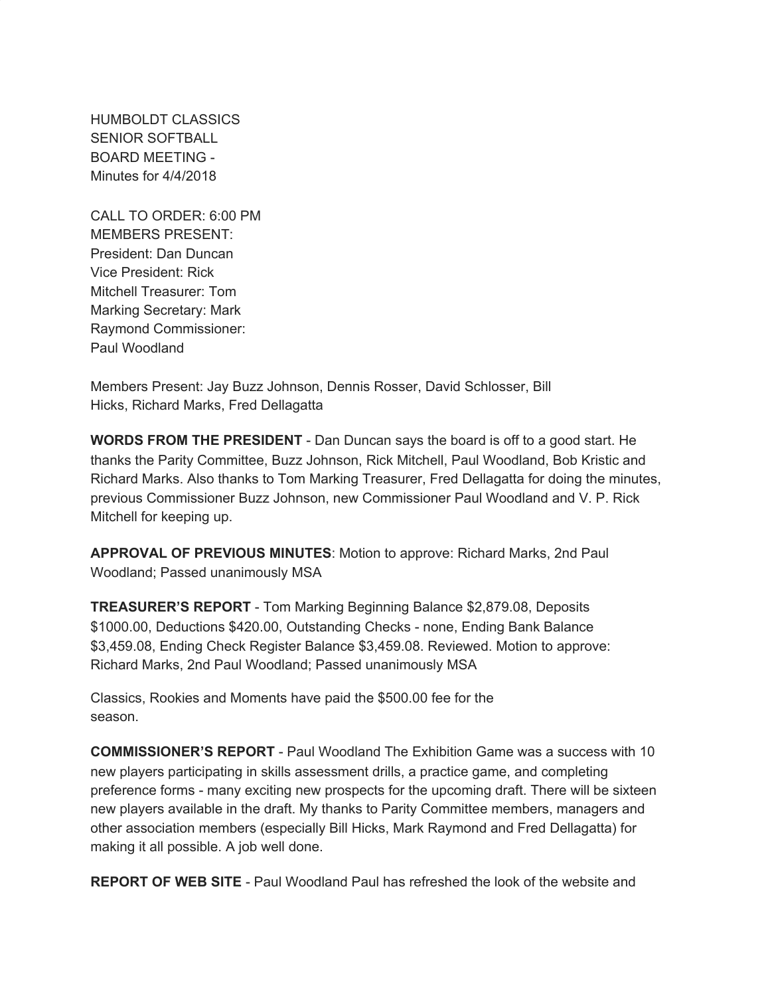HUMBOLDT CLASSICS SENIOR SOFTBALL BOARD MEETING - Minutes for 4/4/2018

CALL TO ORDER: 6:00 PM MEMBERS PRESENT: President: Dan Duncan Vice President: Rick Mitchell Treasurer: Tom Marking Secretary: Mark Raymond Commissioner: Paul Woodland

Members Present: Jay Buzz Johnson, Dennis Rosser, David Schlosser, Bill Hicks, Richard Marks, Fred Dellagatta

**WORDS FROM THE PRESIDENT** - Dan Duncan says the board is off to a good start. He thanks the Parity Committee, Buzz Johnson, Rick Mitchell, Paul Woodland, Bob Kristic and Richard Marks. Also thanks to Tom Marking Treasurer, Fred Dellagatta for doing the minutes, previous Commissioner Buzz Johnson, new Commissioner Paul Woodland and V. P. Rick Mitchell for keeping up.

**APPROVAL OF PREVIOUS MINUTES**: Motion to approve: Richard Marks, 2nd Paul Woodland; Passed unanimously MSA

**TREASURER'S REPORT** - Tom Marking Beginning Balance \$2,879.08, Deposits \$1000.00, Deductions \$420.00, Outstanding Checks - none, Ending Bank Balance \$3,459.08, Ending Check Register Balance \$3,459.08. Reviewed. Motion to approve: Richard Marks, 2nd Paul Woodland; Passed unanimously MSA

Classics, Rookies and Moments have paid the \$500.00 fee for the season.

**COMMISSIONER'S REPORT** - Paul Woodland The Exhibition Game was a success with 10 new players participating in skills assessment drills, a practice game, and completing preference forms - many exciting new prospects for the upcoming draft. There will be sixteen new players available in the draft. My thanks to Parity Committee members, managers and other association members (especially Bill Hicks, Mark Raymond and Fred Dellagatta) for making it all possible. A job well done.

**REPORT OF WEB SITE** - Paul Woodland Paul has refreshed the look of the website and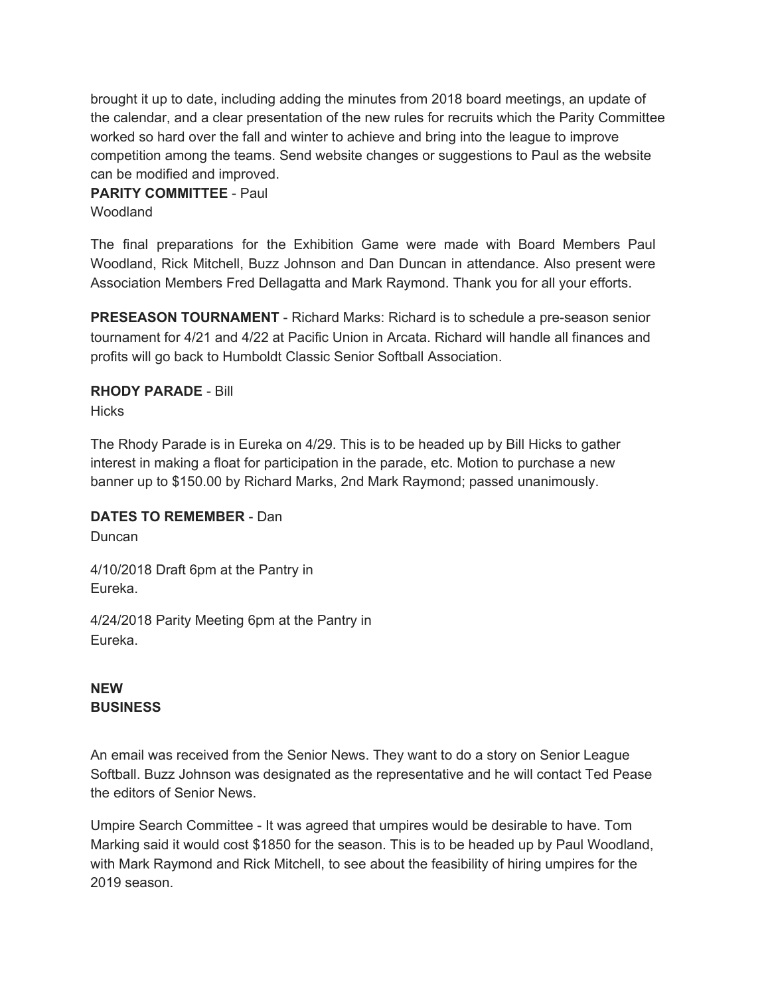brought it up to date, including adding the minutes from 2018 board meetings, an update of the calendar, and a clear presentation of the new rules for recruits which the Parity Committee worked so hard over the fall and winter to achieve and bring into the league to improve competition among the teams. Send website changes or suggestions to Paul as the website can be modified and improved.

## **PARITY COMMITTEE** - Paul

**Woodland** 

The final preparations for the Exhibition Game were made with Board Members Paul Woodland, Rick Mitchell, Buzz Johnson and Dan Duncan in attendance. Also present were Association Members Fred Dellagatta and Mark Raymond. Thank you for all your efforts.

**PRESEASON TOURNAMENT** - Richard Marks: Richard is to schedule a pre-season senior tournament for 4/21 and 4/22 at Pacific Union in Arcata. Richard will handle all finances and profits will go back to Humboldt Classic Senior Softball Association.

## **RHODY PARADE** - Bill

**Hicks** 

The Rhody Parade is in Eureka on 4/29. This is to be headed up by Bill Hicks to gather interest in making a float for participation in the parade, etc. Motion to purchase a new banner up to \$150.00 by Richard Marks, 2nd Mark Raymond; passed unanimously.

## **DATES TO REMEMBER** - Dan

Duncan

4/10/2018 Draft 6pm at the Pantry in Eureka.

4/24/2018 Parity Meeting 6pm at the Pantry in Eureka.

## **NEW BUSINESS**

An email was received from the Senior News. They want to do a story on Senior League Softball. Buzz Johnson was designated as the representative and he will contact Ted Pease the editors of Senior News.

Umpire Search Committee - It was agreed that umpires would be desirable to have. Tom Marking said it would cost \$1850 for the season. This is to be headed up by Paul Woodland, with Mark Raymond and Rick Mitchell, to see about the feasibility of hiring umpires for the 2019 season.